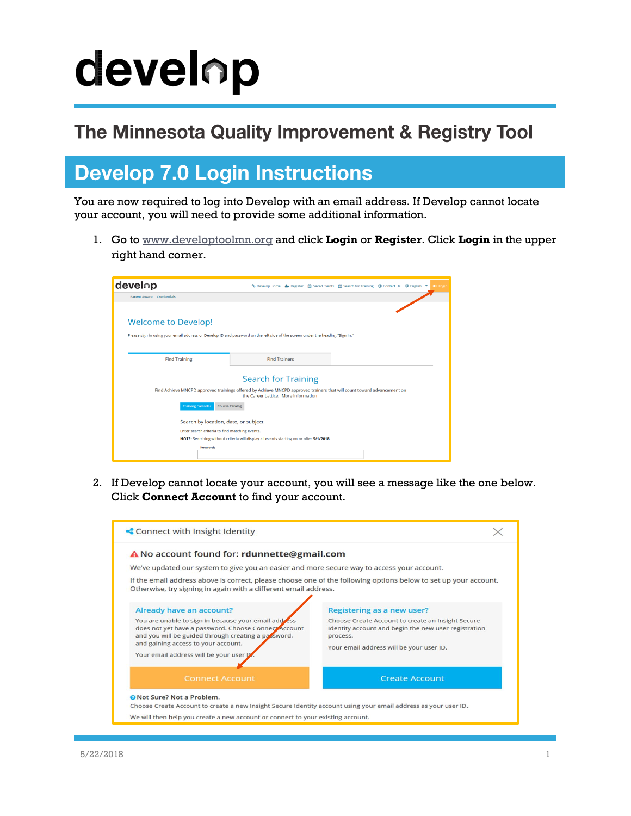# develop

#### The Minnesota Quality Improvement & Registry Tool

#### **Develop 7.0 Login Instructions**

You are now required to log into Develop with an email address. If Develop cannot locate your account, you will need to provide some additional information.

1. Go to [www.developtoolmn.org](http://www.developtoolmn.org/) and click **Login** or **Register**. Click **Login** in the upper right hand corner.

| develop                                                                                                                                                        |                      |  |  | % Develop Home ▲ Register 12 Saved Events 曲 Search for Training ● Contact Us 即 English ▼ |  |  | + Login |
|----------------------------------------------------------------------------------------------------------------------------------------------------------------|----------------------|--|--|------------------------------------------------------------------------------------------|--|--|---------|
| <b>Parent Aware</b> Credentials                                                                                                                                |                      |  |  |                                                                                          |  |  |         |
|                                                                                                                                                                |                      |  |  |                                                                                          |  |  |         |
| <b>Welcome to Develop!</b><br>Please sign in using your email address or Develop ID and password on the left side of the screen under the heading "Sign In."   |                      |  |  |                                                                                          |  |  |         |
|                                                                                                                                                                |                      |  |  |                                                                                          |  |  |         |
| <b>Find Training</b>                                                                                                                                           | <b>Find Trainers</b> |  |  |                                                                                          |  |  |         |
| <b>Search for Training</b>                                                                                                                                     |                      |  |  |                                                                                          |  |  |         |
| Find Achieve MNCPD approved trainings offered by Achieve MNCPD approved trainers that will count toward advancement on<br>the Career Lattice. More Information |                      |  |  |                                                                                          |  |  |         |
| <b>Training Calendar</b><br>Course Catalog                                                                                                                     |                      |  |  |                                                                                          |  |  |         |
| Search by location, date, or subject                                                                                                                           |                      |  |  |                                                                                          |  |  |         |
| Enter search criteria to find matching events.                                                                                                                 |                      |  |  |                                                                                          |  |  |         |
| NOTE: Searching without criteria will display all events starting on or after 5/1/2018.                                                                        |                      |  |  |                                                                                          |  |  |         |
| Keywords                                                                                                                                                       |                      |  |  |                                                                                          |  |  |         |
|                                                                                                                                                                |                      |  |  |                                                                                          |  |  |         |

2. If Develop cannot locate your account, you will see a message like the one below. Click **Connect Account** to find your account.

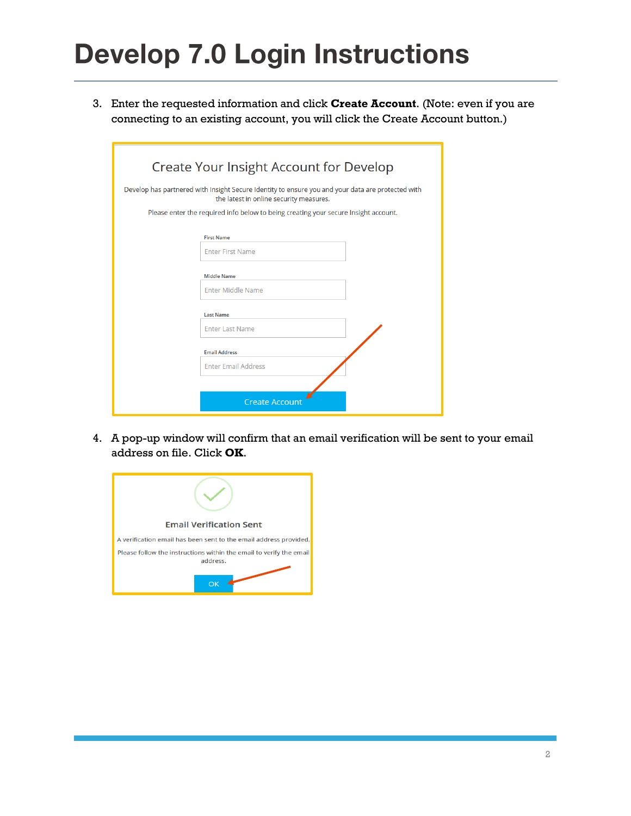3. Enter the requested information and click **Create Account**. (Note: even if you are connecting to an existing account, you will click the Create Account button.)

| Create Your Insight Account for Develop |                                                                                                                                              |  |  |  |  |
|-----------------------------------------|----------------------------------------------------------------------------------------------------------------------------------------------|--|--|--|--|
|                                         | Develop has partnered with Insight Secure Identity to ensure you and your data are protected with<br>the latest in online security measures. |  |  |  |  |
|                                         | Please enter the required info below to being creating your secure Insight account.                                                          |  |  |  |  |
|                                         | <b>First Name</b><br><b>Enter First Name</b>                                                                                                 |  |  |  |  |
|                                         | <b>Middle Name</b>                                                                                                                           |  |  |  |  |
|                                         | <b>Enter Middle Name</b>                                                                                                                     |  |  |  |  |
|                                         | <b>Last Name</b>                                                                                                                             |  |  |  |  |
|                                         | <b>Enter Last Name</b>                                                                                                                       |  |  |  |  |
|                                         | <b>Email Address</b>                                                                                                                         |  |  |  |  |
|                                         | <b>Enter Email Address</b>                                                                                                                   |  |  |  |  |
|                                         |                                                                                                                                              |  |  |  |  |
|                                         | <b>Create Account</b>                                                                                                                        |  |  |  |  |

4. A pop-up window will confirm that an email verification will be sent to your email address on file. Click **OK**.

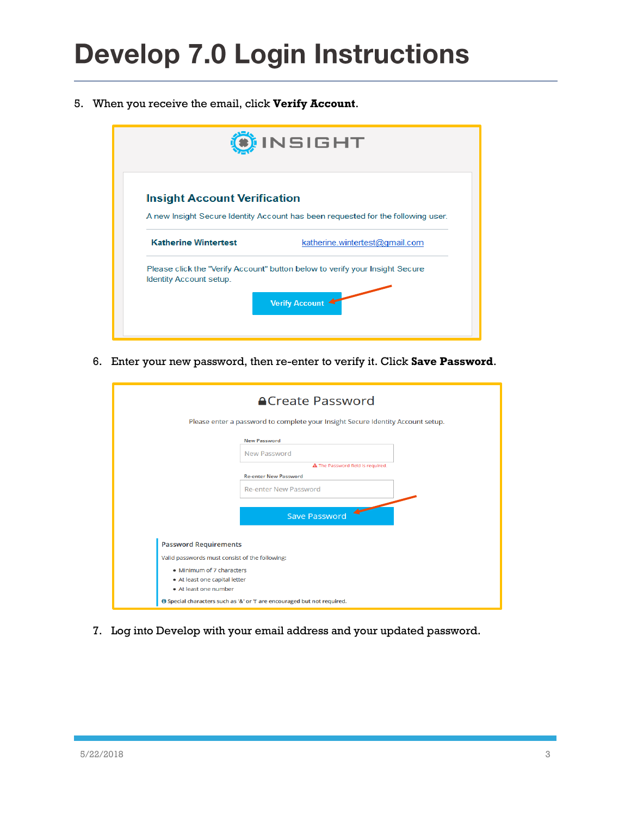5. When you receive the email, click **Verify Account**.

| <b>INSIGHT</b>                                                                                                            |                                |  |  |
|---------------------------------------------------------------------------------------------------------------------------|--------------------------------|--|--|
| <b>Insight Account Verification</b>                                                                                       |                                |  |  |
| A new Insight Secure Identity Account has been requested for the following user.                                          |                                |  |  |
| <b>Katherine Wintertest</b>                                                                                               | katherine.wintertest@gmail.com |  |  |
| Please click the "Verify Account" button below to verify your Insight Secure<br>Identity Account setup.<br>Verify Account |                                |  |  |

6. Enter your new password, then re-enter to verify it. Click **Save Password**.

| <b>ACreate Password</b><br>Please enter a password to complete your Insight Secure Identity Account setup. |  |  |  |  |
|------------------------------------------------------------------------------------------------------------|--|--|--|--|
| <b>New Password</b><br><b>New Password</b>                                                                 |  |  |  |  |
| A The Password field is required.                                                                          |  |  |  |  |
| <b>Re-enter New Password</b>                                                                               |  |  |  |  |
| <b>Re-enter New Password</b>                                                                               |  |  |  |  |
| <b>Save Password</b>                                                                                       |  |  |  |  |
| <b>Password Requirements</b>                                                                               |  |  |  |  |
| Valid passwords must consist of the following:                                                             |  |  |  |  |
| • Minimum of 7 characters<br>• At least one capital letter<br>• At least one number                        |  |  |  |  |
| Special characters such as '&' or '!' are encouraged but not required.                                     |  |  |  |  |

7. Log into Develop with your email address and your updated password.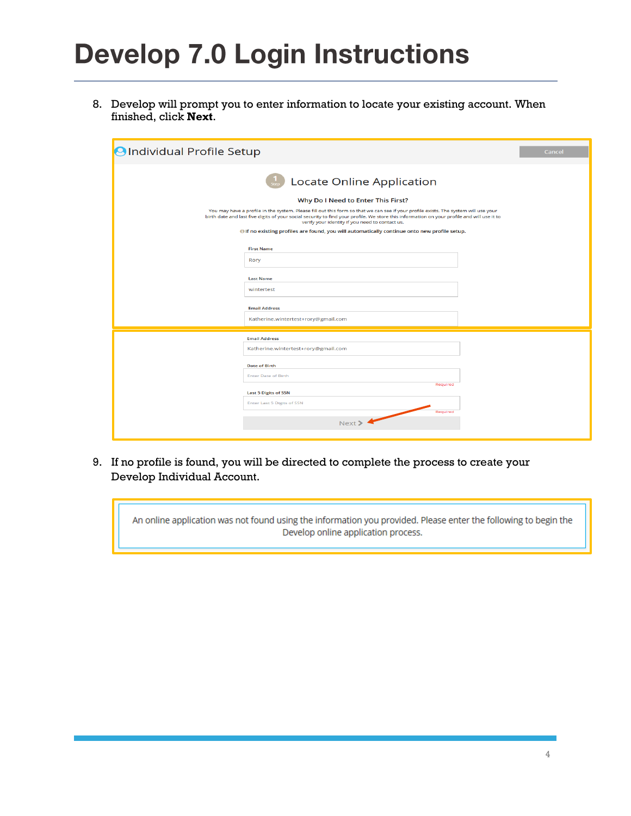8. Develop will prompt you to enter information to locate your existing account. When finished, click **Next**.

| OIndividual Profile Setup                                                                                                                                                                                                                                                                                                            | Cancel                                             |  |  |  |  |  |
|--------------------------------------------------------------------------------------------------------------------------------------------------------------------------------------------------------------------------------------------------------------------------------------------------------------------------------------|----------------------------------------------------|--|--|--|--|--|
| <b>Locate Online Application</b>                                                                                                                                                                                                                                                                                                     |                                                    |  |  |  |  |  |
| Why Do I Need to Enter This First?                                                                                                                                                                                                                                                                                                   |                                                    |  |  |  |  |  |
| You may have a profile in the system. Please fill out this form so that we can see if your profile exists. The system will use your<br>birth date and last five digits of your social security to find your profile. We store this information on your profile and will use it to<br>verify your identity if you need to contact us. |                                                    |  |  |  |  |  |
| Of no existing profiles are found, you will automatically continue onto new profile setup.                                                                                                                                                                                                                                           |                                                    |  |  |  |  |  |
|                                                                                                                                                                                                                                                                                                                                      | <b>First Name</b>                                  |  |  |  |  |  |
|                                                                                                                                                                                                                                                                                                                                      | Rory                                               |  |  |  |  |  |
|                                                                                                                                                                                                                                                                                                                                      | <b>Last Name</b>                                   |  |  |  |  |  |
|                                                                                                                                                                                                                                                                                                                                      | wintertest                                         |  |  |  |  |  |
|                                                                                                                                                                                                                                                                                                                                      | <b>Email Address</b>                               |  |  |  |  |  |
|                                                                                                                                                                                                                                                                                                                                      | Katherine.wintertest+rory@gmail.com                |  |  |  |  |  |
|                                                                                                                                                                                                                                                                                                                                      | <b>Email Address</b>                               |  |  |  |  |  |
|                                                                                                                                                                                                                                                                                                                                      | Katherine.wintertest+rory@gmail.com                |  |  |  |  |  |
|                                                                                                                                                                                                                                                                                                                                      |                                                    |  |  |  |  |  |
|                                                                                                                                                                                                                                                                                                                                      | <b>Date of Birth</b><br><b>Enter Date of Birth</b> |  |  |  |  |  |
|                                                                                                                                                                                                                                                                                                                                      | Required                                           |  |  |  |  |  |
|                                                                                                                                                                                                                                                                                                                                      | <b>Last 5 Digits of SSN</b>                        |  |  |  |  |  |
|                                                                                                                                                                                                                                                                                                                                      | <b>Enter Last 5 Digits of SSN</b>                  |  |  |  |  |  |
|                                                                                                                                                                                                                                                                                                                                      | Required<br>Next >                                 |  |  |  |  |  |
|                                                                                                                                                                                                                                                                                                                                      |                                                    |  |  |  |  |  |

9. If no profile is found, you will be directed to complete the process to create your Develop Individual Account.

An online application was not found using the information you provided. Please enter the following to begin the Develop online application process.